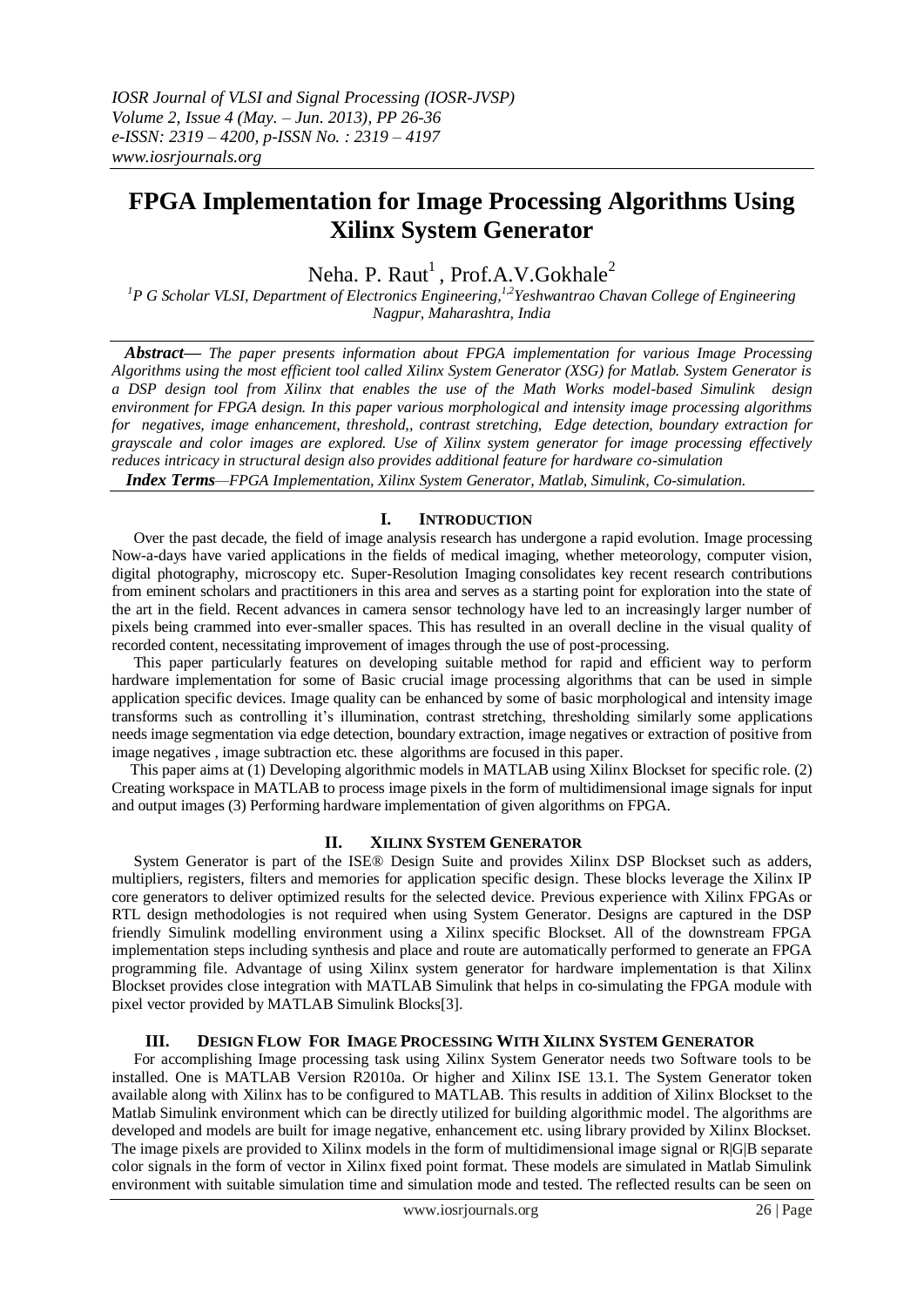# **FPGA Implementation for Image Processing Algorithms Using Xilinx System Generator**

Neha. P. Raut<sup>1</sup>, Prof.A.V.Gokhale<sup>2</sup>

*<sup>1</sup>P G Scholar VLSI, Department of Electronics Engineering, 1,2Yeshwantrao Chavan College of Engineering Nagpur, Maharashtra, India*

*Abstract— The paper presents information about FPGA implementation for various Image Processing Algorithms using the most efficient tool called Xilinx System Generator (XSG) for Matlab. System Generator is a DSP design tool from Xilinx that enables the use of the Math Works model-based Simulink design environment for FPGA design. In this paper various morphological and intensity image processing algorithms for negatives, image enhancement, threshold,, contrast stretching, Edge detection, boundary extraction for grayscale and color images are explored. Use of Xilinx system generator for image processing effectively reduces intricacy in structural design also provides additional feature for hardware co-simulation*

*Index Terms—FPGA Implementation, Xilinx System Generator, Matlab, Simulink, Co-simulation.*

## **I. INTRODUCTION**

Over the past decade, the field of image analysis research has undergone a rapid evolution. Image processing Now-a-days have varied applications in the fields of medical imaging, whether meteorology, computer vision, digital photography, microscopy etc. Super-Resolution Imaging consolidates key recent research contributions from eminent scholars and practitioners in this area and serves as a starting point for exploration into the state of the art in the field. Recent advances in camera sensor technology have led to an increasingly larger number of pixels being crammed into ever-smaller spaces. This has resulted in an overall decline in the visual quality of recorded content, necessitating improvement of images through the use of post-processing.

This paper particularly features on developing suitable method for rapid and efficient way to perform hardware implementation for some of Basic crucial image processing algorithms that can be used in simple application specific devices. Image quality can be enhanced by some of basic morphological and intensity image transforms such as controlling it's illumination, contrast stretching, thresholding similarly some applications needs image segmentation via edge detection, boundary extraction, image negatives or extraction of positive from image negatives , image subtraction etc. these algorithms are focused in this paper.

 This paper aims at (1) Developing algorithmic models in MATLAB using Xilinx Blockset for specific role. (2) Creating workspace in MATLAB to process image pixels in the form of multidimensional image signals for input and output images (3) Performing hardware implementation of given algorithms on FPGA.

## **II. XILINX SYSTEM GENERATOR**

System Generator is part of the ISE® Design Suite and provides Xilinx DSP Blockset such as adders, multipliers, registers, filters and memories for application specific design. These blocks leverage the Xilinx IP core generators to deliver optimized results for the selected device. Previous experience with Xilinx FPGAs or RTL design methodologies is not required when using System Generator. Designs are captured in the DSP friendly Simulink modelling environment using a Xilinx specific Blockset. All of the downstream FPGA implementation steps including synthesis and place and route are automatically performed to generate an FPGA programming file. Advantage of using Xilinx system generator for hardware implementation is that Xilinx Blockset provides close integration with MATLAB Simulink that helps in co-simulating the FPGA module with pixel vector provided by MATLAB Simulink Blocks[3].

## **III. DESIGN FLOW FOR IMAGE PROCESSING WITH XILINX SYSTEM GENERATOR**

For accomplishing Image processing task using Xilinx System Generator needs two Software tools to be installed. One is MATLAB Version R2010a. Or higher and Xilinx ISE 13.1. The System Generator token available along with Xilinx has to be configured to MATLAB. This results in addition of Xilinx Blockset to the Matlab Simulink environment which can be directly utilized for building algorithmic model. The algorithms are developed and models are built for image negative, enhancement etc. using library provided by Xilinx Blockset. The image pixels are provided to Xilinx models in the form of multidimensional image signal or R|G|B separate color signals in the form of vector in Xilinx fixed point format. These models are simulated in Matlab Simulink environment with suitable simulation time and simulation mode and tested. The reflected results can be seen on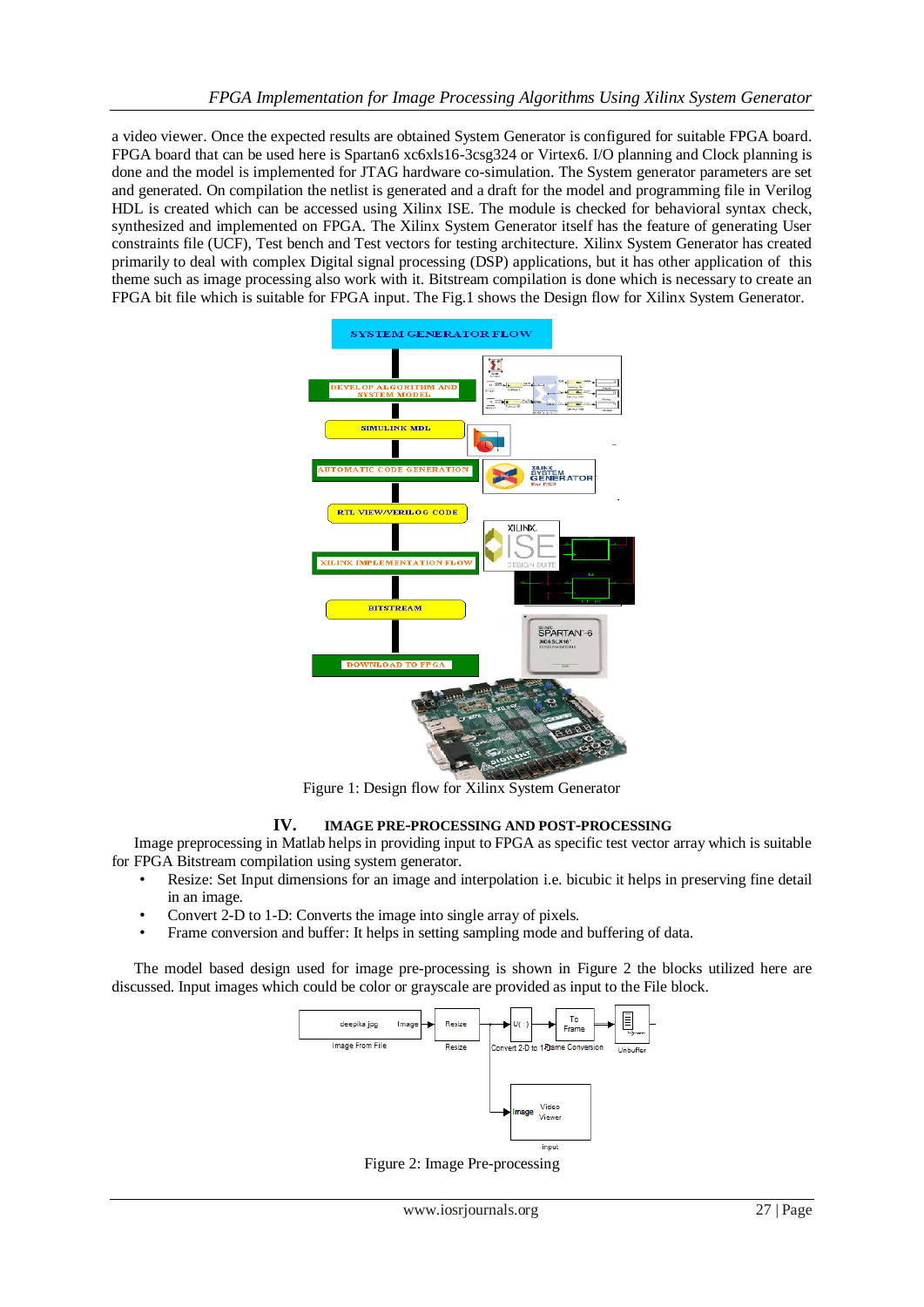a video viewer. Once the expected results are obtained System Generator is configured for suitable FPGA board. FPGA board that can be used here is Spartan6 xc6xls16-3csg324 or Virtex6. I/O planning and Clock planning is done and the model is implemented for JTAG hardware co-simulation. The System generator parameters are set and generated. On compilation the netlist is generated and a draft for the model and programming file in Verilog HDL is created which can be accessed using Xilinx ISE. The module is checked for behavioral syntax check, synthesized and implemented on FPGA. The Xilinx System Generator itself has the feature of generating User constraints file (UCF), Test bench and Test vectors for testing architecture. Xilinx System Generator has created primarily to deal with complex Digital signal processing (DSP) applications, but it has other application of this theme such as image processing also work with it. Bitstream compilation is done which is necessary to create an FPGA bit file which is suitable for FPGA input. The Fig.1 shows the Design flow for Xilinx System Generator.



Figure 1: Design flow for Xilinx System Generator

## **IV. IMAGE PRE-PROCESSING AND POST-PROCESSING**

 Image preprocessing in Matlab helps in providing input to FPGA as specific test vector array which is suitable for FPGA Bitstream compilation using system generator.

- Resize: Set Input dimensions for an image and interpolation i.e. bicubic it helps in preserving fine detail in an image.
- Convert 2-D to 1-D: Converts the image into single array of pixels.
- Frame conversion and buffer: It helps in setting sampling mode and buffering of data.

The model based design used for image pre-processing is shown in Figure 2 the blocks utilized here are discussed. Input images which could be color or grayscale are provided as input to the File block.



Figure 2: Image Pre-processing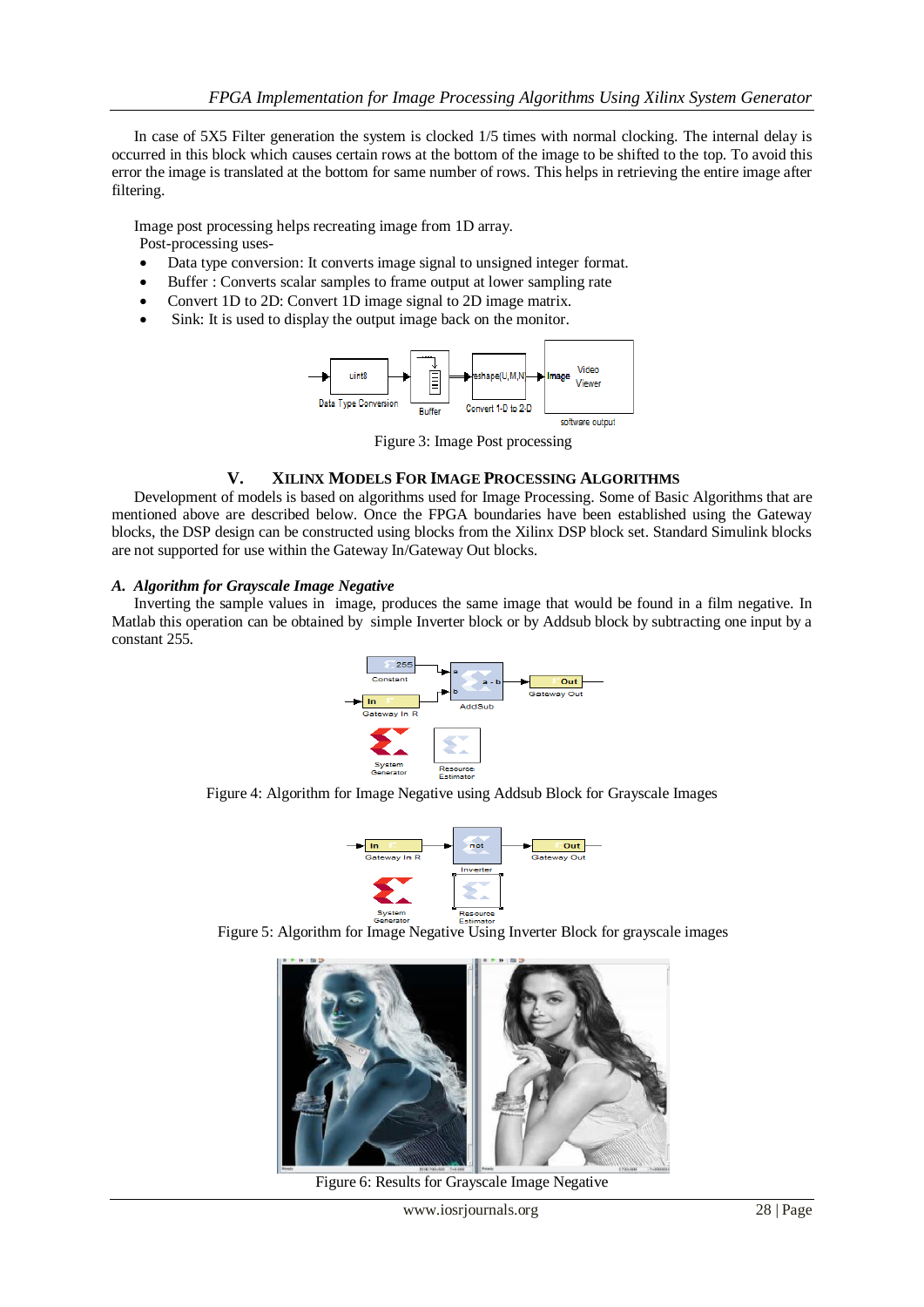In case of 5X5 Filter generation the system is clocked 1/5 times with normal clocking. The internal delay is occurred in this block which causes certain rows at the bottom of the image to be shifted to the top. To avoid this error the image is translated at the bottom for same number of rows. This helps in retrieving the entire image after filtering.

Image post processing helps recreating image from 1D array. Post-processing uses-

- Data type conversion: It converts image signal to unsigned integer format.
- Buffer : Converts scalar samples to frame output at lower sampling rate
- Convert 1D to 2D: Convert 1D image signal to 2D image matrix.
- Sink: It is used to display the output image back on the monitor.



Figure 3: Image Post processing

### **V. XILINX MODELS FOR IMAGE PROCESSING ALGORITHMS**

Development of models is based on algorithms used for Image Processing. Some of Basic Algorithms that are mentioned above are described below. Once the FPGA boundaries have been established using the Gateway blocks, the DSP design can be constructed using blocks from the Xilinx DSP block set. Standard Simulink blocks are not supported for use within the Gateway In/Gateway Out blocks.

### *A. Algorithm for Grayscale Image Negative*

Inverting the sample values in image, produces the same image that would be found in a film negative. In Matlab this operation can be obtained by simple Inverter block or by Addsub block by subtracting one input by a constant 255.



Figure 4: Algorithm for Image Negative using Addsub Block for Grayscale Images



Figure 5: Algorithm for Image Negative Using Inverter Block for grayscale images



Figure 6: Results for Grayscale Image Negative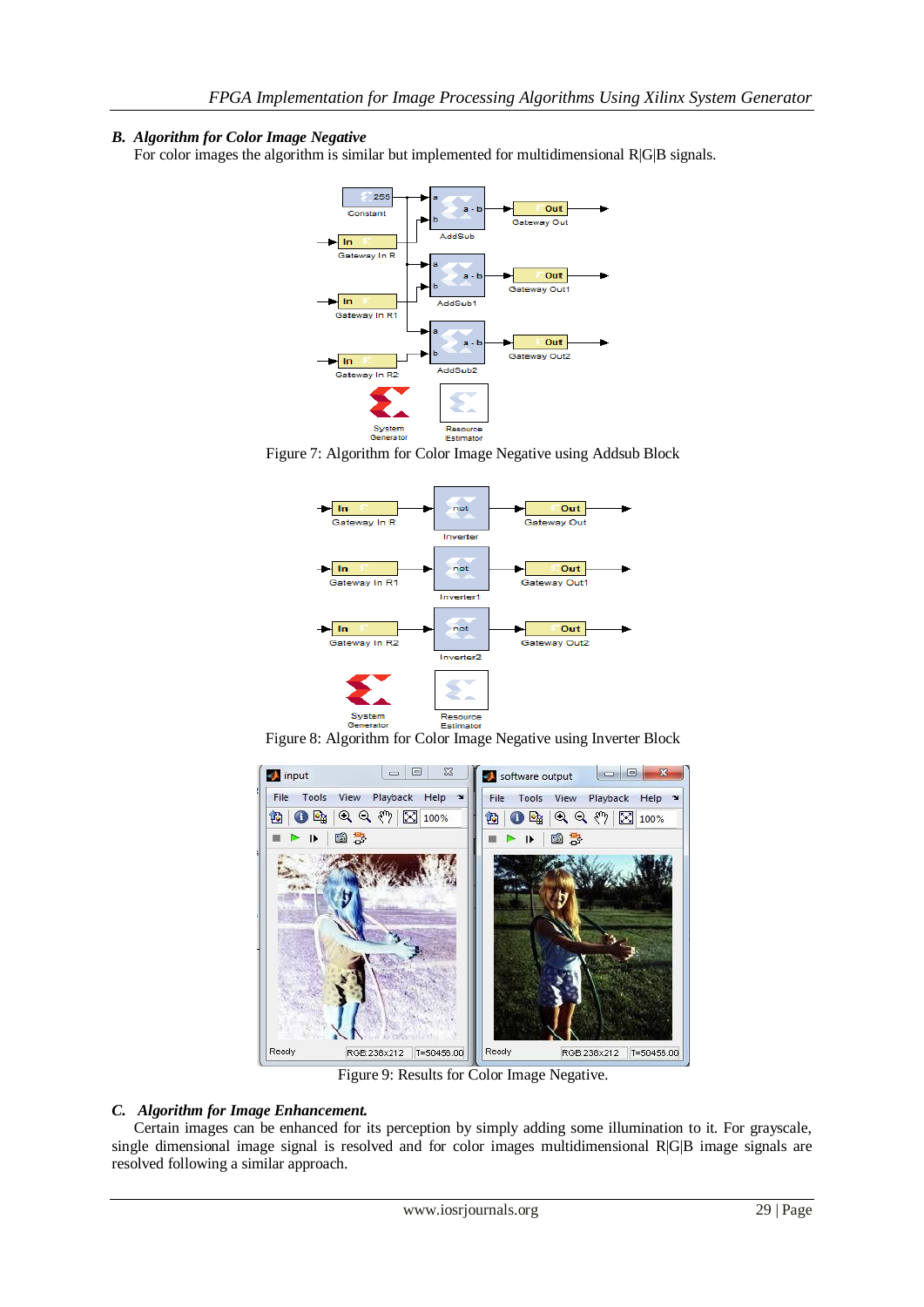# *B. Algorithm for Color Image Negative*

For color images the algorithm is similar but implemented for multidimensional R|G|B signals.



Figure 7: Algorithm for Color Image Negative using Addsub Block



Figure 8: Algorithm for Color Image Negative using Inverter Block



Figure 9: Results for Color Image Negative.

## *C. Algorithm for Image Enhancement.*

Certain images can be enhanced for its perception by simply adding some illumination to it. For grayscale, single dimensional image signal is resolved and for color images multidimensional R|G|B image signals are resolved following a similar approach.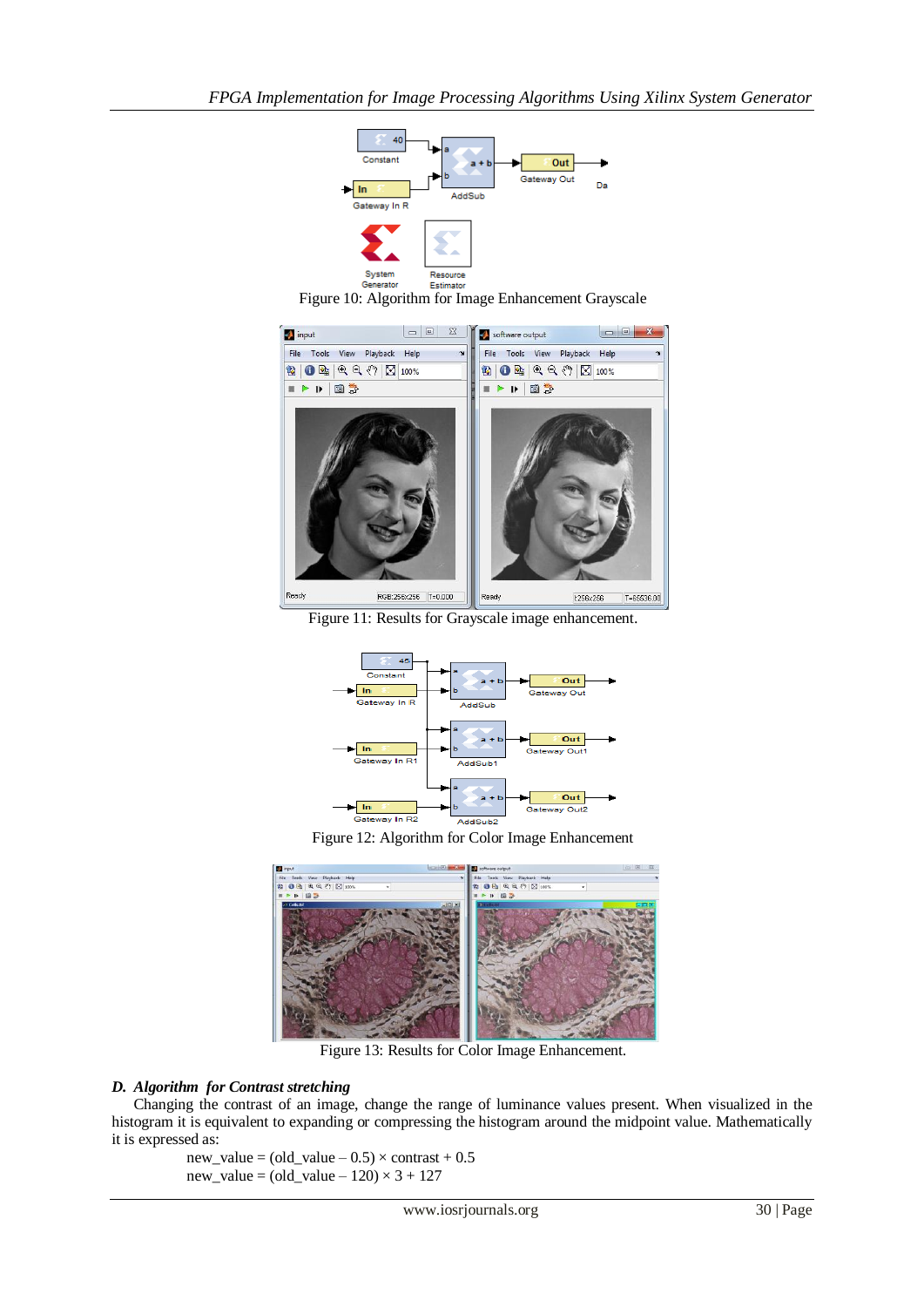

Figure 10: Algorithm for Image Enhancement Grayscale



Figure 11: Results for Grayscale image enhancement.



Figure 12: Algorithm for Color Image Enhancement



Figure 13: Results for Color Image Enhancement.

## *D. Algorithm for Contrast stretching*

Changing the contrast of an image, change the range of luminance values present. When visualized in the histogram it is equivalent to expanding or compressing the histogram around the midpoint value. Mathematically it is expressed as:

 $new_value = (old_value - 0.5) \times contrast + 0.5$ new\_value =  $\text{(old_value} - 120) \times 3 + 127$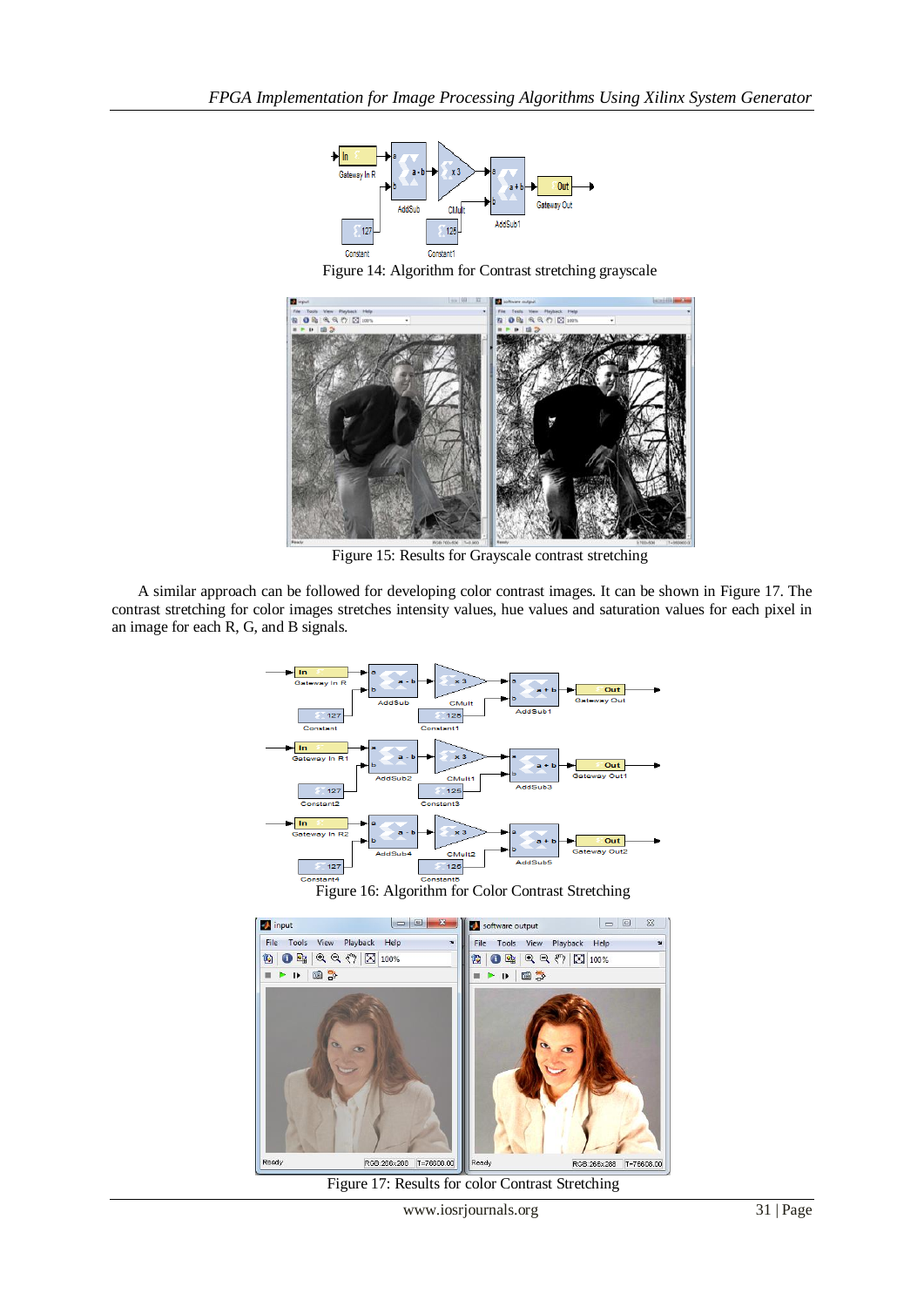

Figure 14: Algorithm for Contrast stretching grayscale



Figure 15: Results for Grayscale contrast stretching

A similar approach can be followed for developing color contrast images. It can be shown in Figure 17. The contrast stretching for color images stretches intensity values, hue values and saturation values for each pixel in an image for each R, G, and B signals.



Figure 17: Results for color Contrast Stretching

RGB:266x288 |T=76608.00

Read<sub>)</sub>

RGB:266x288 |T=76608.00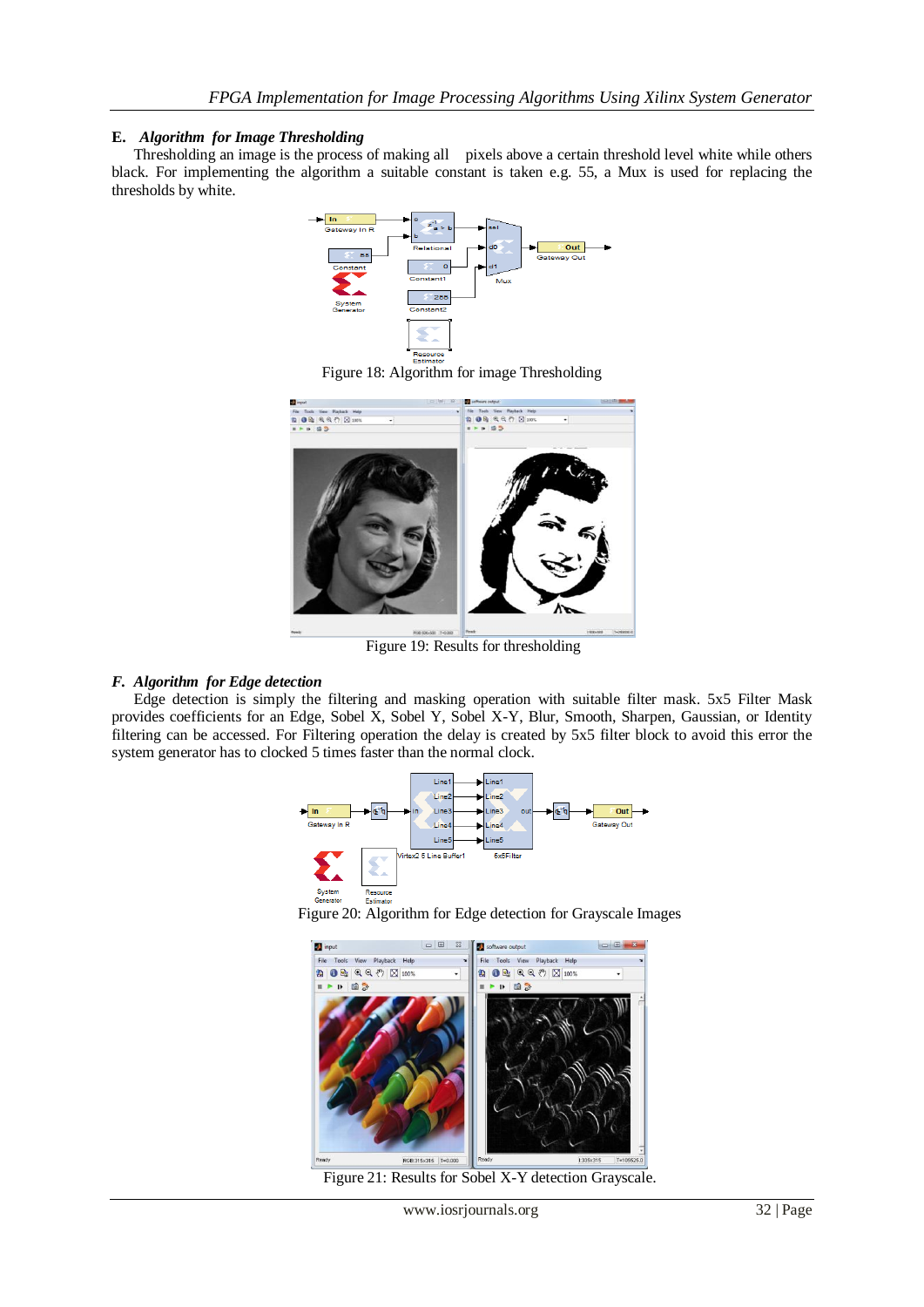## **E.** *Algorithm for Image Thresholding*

Thresholding an image is the process of making all pixels above a certain threshold level white while others black. For implementing the algorithm a suitable constant is taken e.g. 55, a Mux is used for replacing the thresholds by white.



 $F_{\text{Estimator}}$ <br>Figure 18: Algorithm for image Thresholding



Figure 19: Results for thresholding

# *F. Algorithm for Edge detection*

Edge detection is simply the filtering and masking operation with suitable filter mask. 5x5 Filter Mask provides coefficients for an Edge, Sobel X, Sobel Y, Sobel X-Y, Blur, Smooth, Sharpen, Gaussian, or Identity filtering can be accessed. For Filtering operation the delay is created by 5x5 filter block to avoid this error the system generator has to clocked 5 times faster than the normal clock.



Figure 20: Algorithm for Edge detection for Grayscale Images



Figure 21: Results for Sobel X-Y detection Grayscale.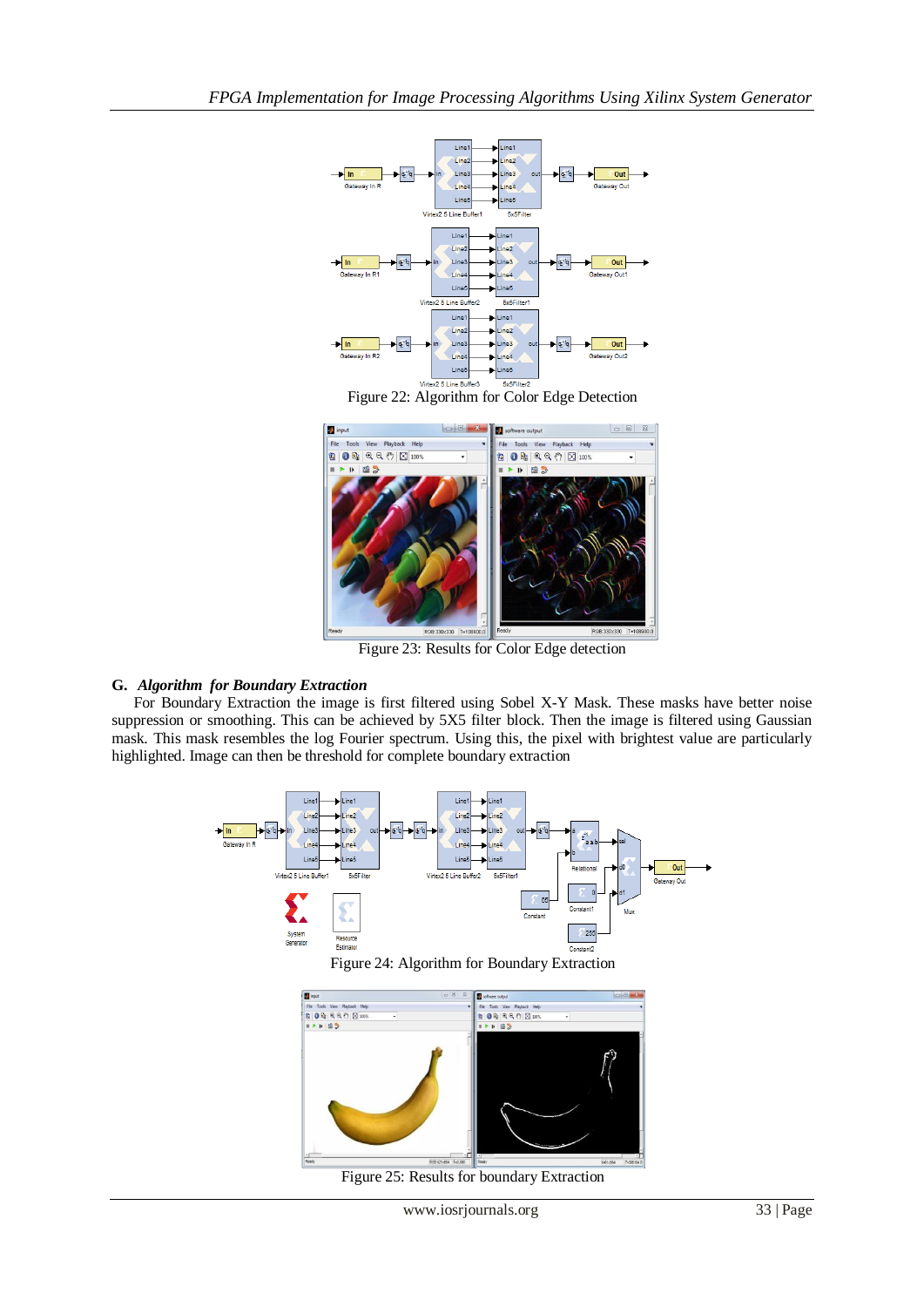

**Figure 22:** Algorithm for Color Edge Detection



Figure 23: Results for Color Edge detection

## **G.** *Algorithm for Boundary Extraction*

For Boundary Extraction the image is first filtered using Sobel X-Y Mask. These masks have better noise suppression or smoothing. This can be achieved by 5X5 filter block. Then the image is filtered using Gaussian mask. This mask resembles the log Fourier spectrum. Using this, the pixel with brightest value are particularly highlighted. Image can then be threshold for complete boundary extraction





Figure 25: Results for boundary Extraction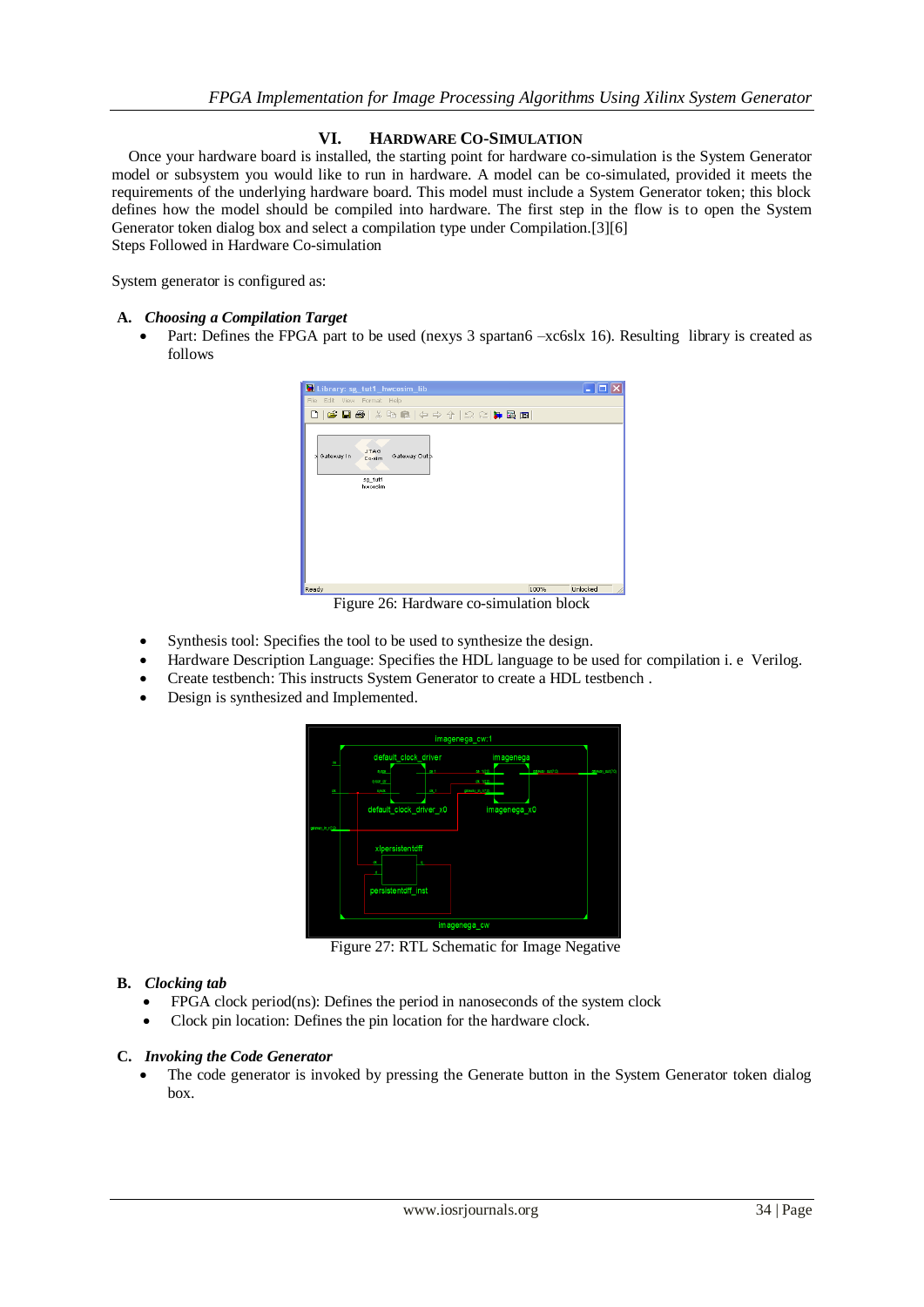# **VI. HARDWARE CO-SIMULATION**

Once your hardware board is installed, the starting point for hardware co-simulation is the System Generator model or subsystem you would like to run in hardware. A model can be co-simulated, provided it meets the requirements of the underlying hardware board. This model must include a System Generator token; this block defines how the model should be compiled into hardware. The first step in the flow is to open the System Generator token dialog box and select a compilation type under Compilation.[3][6] Steps Followed in Hardware Co-simulation

System generator is configured as:

### **A.** *Choosing a Compilation Target*

• Part: Defines the FPGA part to be used (nexys 3 spartan6 –xc6slx 16). Resulting library is created as follows



Figure 26: Hardware co-simulation block

- Synthesis tool: Specifies the tool to be used to synthesize the design.
- Hardware Description Language: Specifies the HDL language to be used for compilation i. e Verilog.
- Create testbench: This instructs System Generator to create a HDL testbench .
- Design is synthesized and Implemented.



Figure 27: RTL Schematic for Image Negative

## **B.** *Clocking tab*

- FPGA clock period(ns): Defines the period in nanoseconds of the system clock
- Clock pin location: Defines the pin location for the hardware clock.

## **C.** *Invoking the Code Generator*

 The code generator is invoked by pressing the Generate button in the System Generator token dialog box.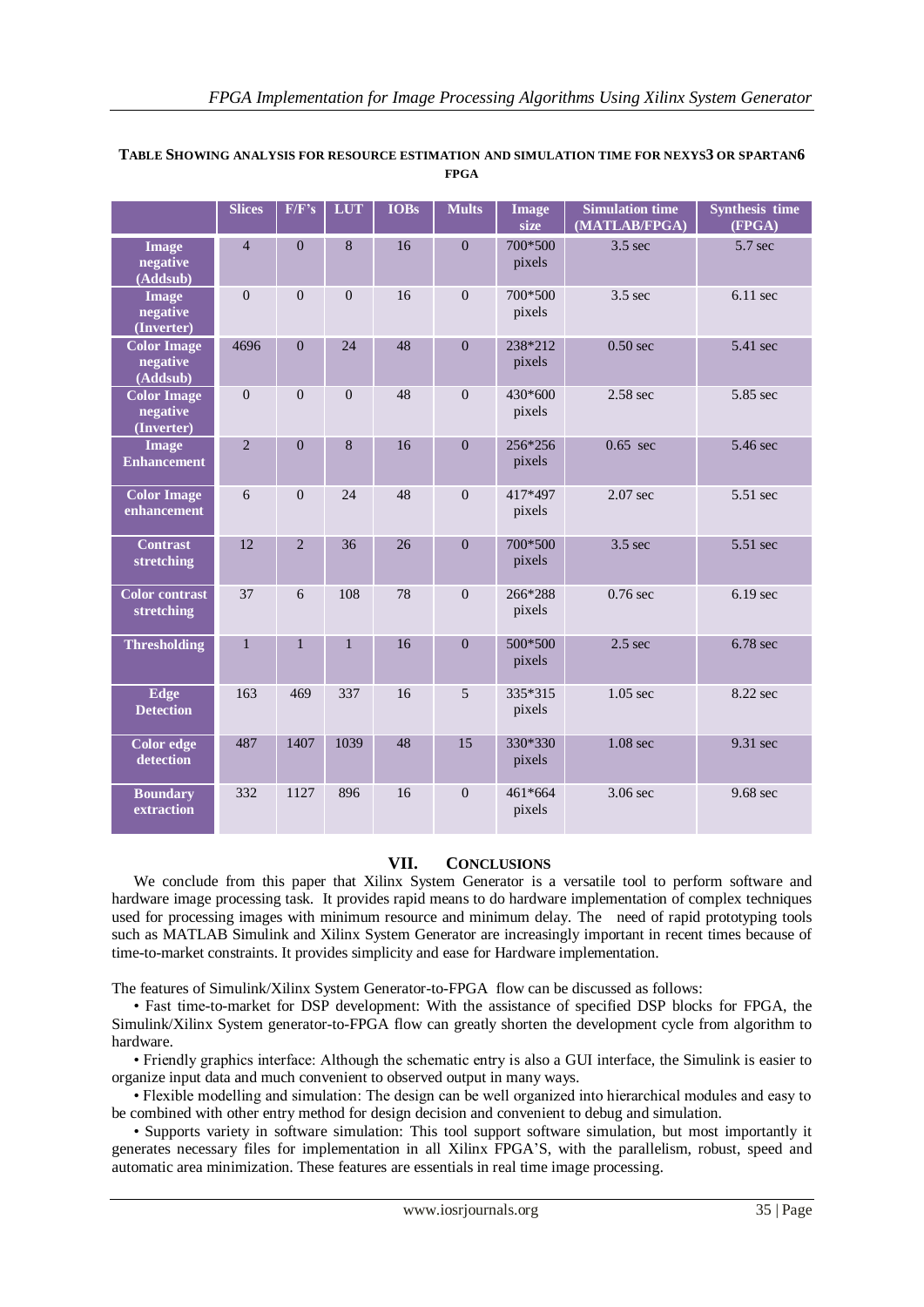|                                              | <b>Slices</b>  | F/F's          | <b>LUT</b>   | <b>IOBs</b> | <b>Mults</b>   | <b>Image</b><br>size | <b>Simulation time</b><br>(MATLAB/FPGA) | <b>Synthesis time</b><br>(FPGA) |
|----------------------------------------------|----------------|----------------|--------------|-------------|----------------|----------------------|-----------------------------------------|---------------------------------|
| <b>Image</b><br>negative<br>(Addsub)         | $\overline{4}$ | $\overline{0}$ | 8            | 16          | $\theta$       | 700*500<br>pixels    | $3.5$ sec                               | 5.7 sec                         |
| <b>Image</b><br>negative<br>(Inverter)       | $\Omega$       | $\Omega$       | $\theta$     | 16          | $\theta$       | 700*500<br>pixels    | $3.5$ sec                               | $6.11$ sec                      |
| <b>Color Image</b><br>negative<br>(Addsub)   | 4696           | $\overline{0}$ | 24           | 48          | $\overline{0}$ | 238*212<br>pixels    | $0.50$ sec                              | 5.41 sec                        |
| <b>Color Image</b><br>negative<br>(Inverter) | $\mathbf{0}$   | $\Omega$       | $\Omega$     | 48          | $\Omega$       | 430*600<br>pixels    | $2.58$ sec                              | 5.85 sec                        |
| <b>Image</b><br><b>Enhancement</b>           | $\overline{2}$ | $\Omega$       | 8            | 16          | $\theta$       | 256*256<br>pixels    | $0.65 \text{ sec}$                      | 5.46 sec                        |
| <b>Color Image</b><br>enhancement            | 6              | $\overline{0}$ | 24           | 48          | $\mathbf{0}$   | 417*497<br>pixels    | $2.07$ sec                              | 5.51 sec                        |
| <b>Contrast</b><br>stretching                | 12             | $\overline{2}$ | 36           | 26          | $\overline{0}$ | 700*500<br>pixels    | $3.5$ sec                               | 5.51 sec                        |
| <b>Color</b> contrast<br>stretching          | 37             | 6              | 108          | 78          | $\Omega$       | 266*288<br>pixels    | $0.76$ sec                              | $6.19$ sec                      |
| <b>Thresholding</b>                          | $\mathbf{1}$   | $\mathbf{1}$   | $\mathbf{1}$ | 16          | $\theta$       | 500*500<br>pixels    | $2.5$ sec                               | 6.78 sec                        |
| Edge<br><b>Detection</b>                     | 163            | 469            | 337          | 16          | 5              | 335*315<br>pixels    | $1.05$ sec                              | 8.22 sec                        |
| Color edge<br>detection                      | 487            | 1407           | 1039         | 48          | 15             | 330*330<br>pixels    | 1.08 <sub>sec</sub>                     | 9.31 sec                        |
| <b>Boundary</b><br>extraction                | 332            | 1127           | 896          | 16          | $\overline{0}$ | 461*664<br>pixels    | 3.06 sec                                | 9.68 sec                        |

## **TABLE SHOWING ANALYSIS FOR RESOURCE ESTIMATION AND SIMULATION TIME FOR NEXYS3 OR SPARTAN6 FPGA**

# **VII. CONCLUSIONS**

We conclude from this paper that Xilinx System Generator is a versatile tool to perform software and hardware image processing task. It provides rapid means to do hardware implementation of complex techniques used for processing images with minimum resource and minimum delay. The need of rapid prototyping tools such as MATLAB Simulink and Xilinx System Generator are increasingly important in recent times because of time-to-market constraints. It provides simplicity and ease for Hardware implementation.

The features of Simulink/Xilinx System Generator-to-FPGA flow can be discussed as follows:

• Fast time-to-market for DSP development: With the assistance of specified DSP blocks for FPGA, the Simulink/Xilinx System generator-to-FPGA flow can greatly shorten the development cycle from algorithm to hardware.

• Friendly graphics interface: Although the schematic entry is also a GUI interface, the Simulink is easier to organize input data and much convenient to observed output in many ways.

• Flexible modelling and simulation: The design can be well organized into hierarchical modules and easy to be combined with other entry method for design decision and convenient to debug and simulation.

• Supports variety in software simulation: This tool support software simulation, but most importantly it generates necessary files for implementation in all Xilinx FPGA"S, with the parallelism, robust, speed and automatic area minimization. These features are essentials in real time image processing.